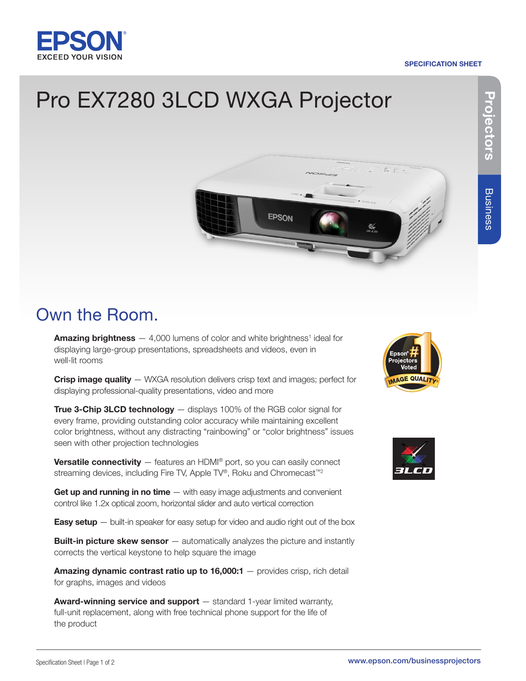## **EXCEED YOUR VISIO**

#### SPECIFICATION SHEET

# Projectors **Projectors**

**Business** Business

### Pro EX7280 3LCD WXGA Projector



### Own the Room.

**Amazing brightness**  $-4,000$  lumens of color and white brightness<sup>1</sup> ideal for displaying large-group presentations, spreadsheets and videos, even in well-lit rooms

Crisp image quality – WXGA resolution delivers crisp text and images; perfect for displaying professional-quality presentations, video and more

**True 3-Chip 3LCD technology** — displays 100% of the RGB color signal for every frame, providing outstanding color accuracy while maintaining excellent color brightness, without any distracting "rainbowing" or "color brightness" issues seen with other projection technologies

Versatile connectivity - features an HDMI® port, so you can easily connect streaming devices, including Fire TV, Apple TV®, Roku and Chromecast<sup>™2</sup>

Get up and running in no time - with easy image adjustments and convenient control like 1.2x optical zoom, horizontal slider and auto vertical correction

**Easy setup**  $-$  built-in speaker for easy setup for video and audio right out of the box

**Built-in picture skew sensor** — automatically analyzes the picture and instantly corrects the vertical keystone to help square the image

Amazing dynamic contrast ratio up to 16,000:1 - provides crisp, rich detail for graphs, images and videos

Award-winning service and support – standard 1-year limited warranty, full-unit replacement, along with free technical phone support for the life of the product